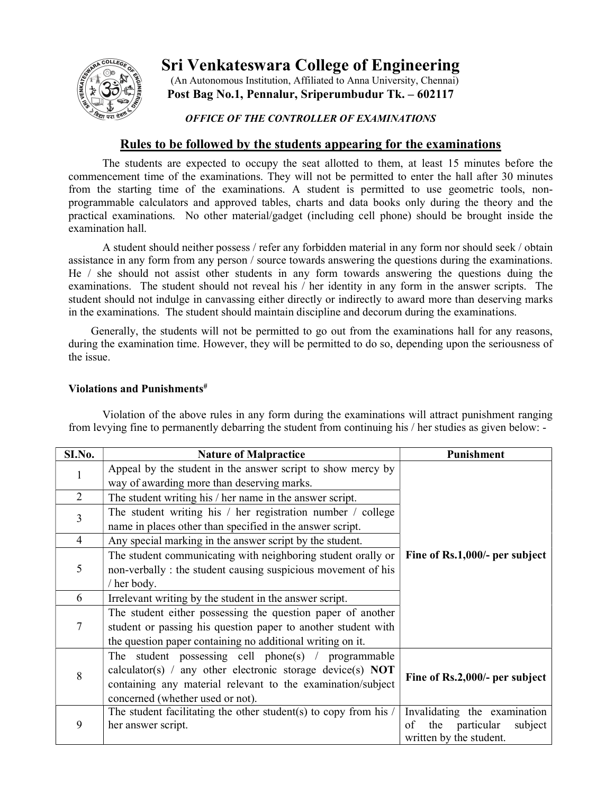

Sri Venkateswara College of Engineering

 (An Autonomous Institution, Affiliated to Anna University, Chennai) Post Bag No.1, Pennalur, Sriperumbudur Tk. – 602117

## OFFICE OF THE CONTROLLER OF EXAMINATIONS

## Rules to be followed by the students appearing for the examinations

 The students are expected to occupy the seat allotted to them, at least 15 minutes before the commencement time of the examinations. They will not be permitted to enter the hall after 30 minutes from the starting time of the examinations. A student is permitted to use geometric tools, nonprogrammable calculators and approved tables, charts and data books only during the theory and the practical examinations. No other material/gadget (including cell phone) should be brought inside the examination hall.

 A student should neither possess / refer any forbidden material in any form nor should seek / obtain assistance in any form from any person / source towards answering the questions during the examinations. He / she should not assist other students in any form towards answering the questions duing the examinations. The student should not reveal his / her identity in any form in the answer scripts. The student should not indulge in canvassing either directly or indirectly to award more than deserving marks in the examinations. The student should maintain discipline and decorum during the examinations.

 Generally, the students will not be permitted to go out from the examinations hall for any reasons, during the examination time. However, they will be permitted to do so, depending upon the seriousness of the issue.

## Violations and Punishments<sup>#</sup>

| SI.No.         | <b>Nature of Malpractice</b>                                                                                                                                                                                         | Punishment                                                                                    |  |  |
|----------------|----------------------------------------------------------------------------------------------------------------------------------------------------------------------------------------------------------------------|-----------------------------------------------------------------------------------------------|--|--|
| 1              | Appeal by the student in the answer script to show mercy by<br>way of awarding more than deserving marks.                                                                                                            |                                                                                               |  |  |
| $\overline{2}$ | The student writing his / her name in the answer script.                                                                                                                                                             |                                                                                               |  |  |
| 3              | The student writing his / her registration number / college<br>name in places other than specified in the answer script.                                                                                             |                                                                                               |  |  |
| $\overline{4}$ | Any special marking in the answer script by the student.                                                                                                                                                             | Fine of Rs.1,000/- per subject                                                                |  |  |
| 5              | The student communicating with neighboring student orally or<br>non-verbally : the student causing suspicious movement of his<br>/ her body.                                                                         |                                                                                               |  |  |
| 6              | Irrelevant writing by the student in the answer script.                                                                                                                                                              |                                                                                               |  |  |
| 7              | The student either possessing the question paper of another<br>student or passing his question paper to another student with<br>the question paper containing no additional writing on it.                           |                                                                                               |  |  |
| 8              | The student possessing cell phone(s) / programmable<br>calculator(s) / any other electronic storage device(s) NOT<br>containing any material relevant to the examination/subject<br>concerned (whether used or not). | Fine of Rs.2,000/- per subject                                                                |  |  |
| 9              | The student facilitating the other student(s) to copy from his $\ell$<br>her answer script.                                                                                                                          | Invalidating the examination<br>the<br>particular<br>of<br>subject<br>written by the student. |  |  |

 Violation of the above rules in any form during the examinations will attract punishment ranging from levying fine to permanently debarring the student from continuing his / her studies as given below: -